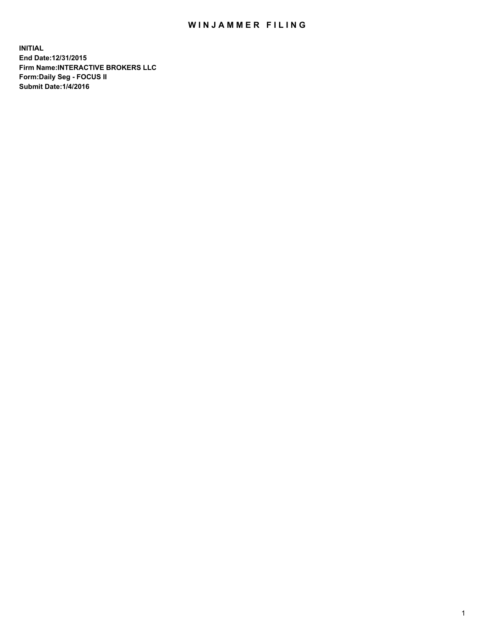## WIN JAMMER FILING

**INITIAL End Date:12/31/2015 Firm Name:INTERACTIVE BROKERS LLC Form:Daily Seg - FOCUS II Submit Date:1/4/2016**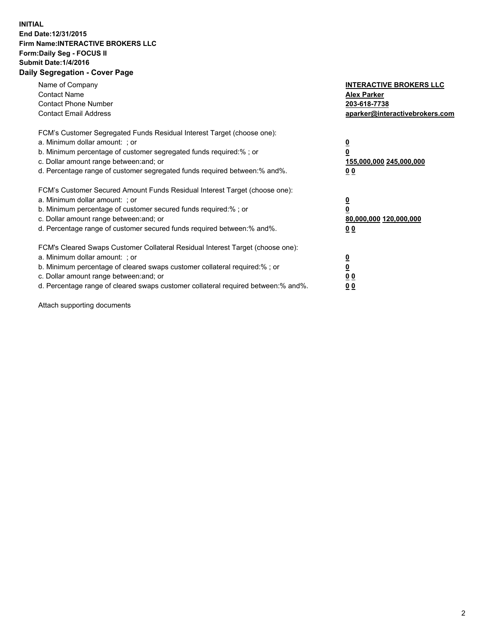## **INITIAL End Date:12/31/2015 Firm Name:INTERACTIVE BROKERS LLC Form:Daily Seg - FOCUS II Submit Date:1/4/2016 Daily Segregation - Cover Page**

| Name of Company<br><b>Contact Name</b><br><b>Contact Phone Number</b><br><b>Contact Email Address</b>                                                                                                                                                                                                                          | <b>INTERACTIVE BROKERS LLC</b><br><b>Alex Parker</b><br>203-618-7738<br>aparker@interactivebrokers.com |
|--------------------------------------------------------------------------------------------------------------------------------------------------------------------------------------------------------------------------------------------------------------------------------------------------------------------------------|--------------------------------------------------------------------------------------------------------|
| FCM's Customer Segregated Funds Residual Interest Target (choose one):<br>a. Minimum dollar amount: ; or<br>b. Minimum percentage of customer segregated funds required:%; or<br>c. Dollar amount range between: and; or<br>d. Percentage range of customer segregated funds required between:% and%.                          | $\overline{\mathbf{0}}$<br>155,000,000 245,000,000<br><u>00</u>                                        |
| FCM's Customer Secured Amount Funds Residual Interest Target (choose one):<br>a. Minimum dollar amount: ; or<br>b. Minimum percentage of customer secured funds required:%; or<br>c. Dollar amount range between: and; or<br>d. Percentage range of customer secured funds required between:% and%.                            | $\overline{\mathbf{0}}$<br>80,000,000 120,000,000<br>0 <sub>0</sub>                                    |
| FCM's Cleared Swaps Customer Collateral Residual Interest Target (choose one):<br>a. Minimum dollar amount: ; or<br>b. Minimum percentage of cleared swaps customer collateral required:% ; or<br>c. Dollar amount range between: and; or<br>d. Percentage range of cleared swaps customer collateral required between:% and%. | <u>0</u><br>0 <sub>0</sub><br><u>00</u>                                                                |

Attach supporting documents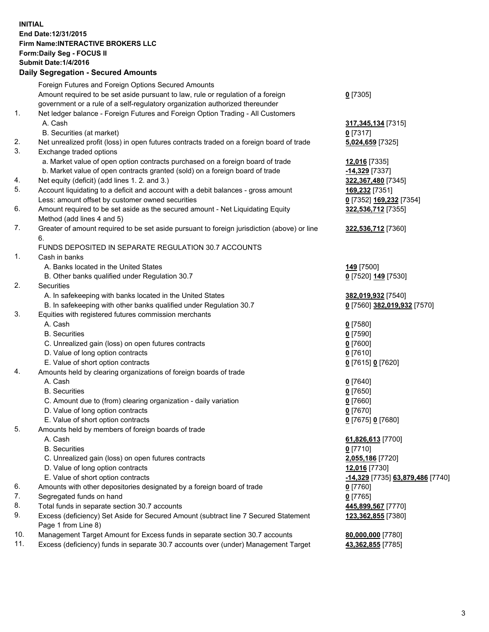## **INITIAL End Date:12/31/2015 Firm Name:INTERACTIVE BROKERS LLC Form:Daily Seg - FOCUS II Submit Date:1/4/2016 Daily Segregation - Secured Amounts**

|     | Dany Ocgregation - Oceanea Annoanta                                                                        |                                  |
|-----|------------------------------------------------------------------------------------------------------------|----------------------------------|
|     | Foreign Futures and Foreign Options Secured Amounts                                                        |                                  |
|     | Amount required to be set aside pursuant to law, rule or regulation of a foreign                           | $0$ [7305]                       |
|     | government or a rule of a self-regulatory organization authorized thereunder                               |                                  |
| 1.  | Net ledger balance - Foreign Futures and Foreign Option Trading - All Customers                            |                                  |
|     | A. Cash                                                                                                    | 317, 345, 134 [7315]             |
|     | B. Securities (at market)                                                                                  | $0$ [7317]                       |
| 2.  | Net unrealized profit (loss) in open futures contracts traded on a foreign board of trade                  | 5,024,659 [7325]                 |
| 3.  | Exchange traded options                                                                                    |                                  |
|     | a. Market value of open option contracts purchased on a foreign board of trade                             | 12,016 [7335]                    |
|     | b. Market value of open contracts granted (sold) on a foreign board of trade                               | -14,329 [7337]                   |
| 4.  | Net equity (deficit) (add lines 1.2. and 3.)                                                               | 322,367,480 [7345]               |
| 5.  | Account liquidating to a deficit and account with a debit balances - gross amount                          | 169,232 [7351]                   |
|     | Less: amount offset by customer owned securities                                                           | 0 [7352] 169,232 [7354]          |
| 6.  | Amount required to be set aside as the secured amount - Net Liquidating Equity                             | 322,536,712 [7355]               |
|     | Method (add lines 4 and 5)                                                                                 |                                  |
| 7.  | Greater of amount required to be set aside pursuant to foreign jurisdiction (above) or line                | 322,536,712 [7360]               |
|     | 6.                                                                                                         |                                  |
|     | FUNDS DEPOSITED IN SEPARATE REGULATION 30.7 ACCOUNTS                                                       |                                  |
| 1.  | Cash in banks                                                                                              |                                  |
|     | A. Banks located in the United States                                                                      | 149 <sub>[7500]</sub>            |
|     | B. Other banks qualified under Regulation 30.7                                                             | 0 [7520] 149 [7530]              |
| 2.  | Securities                                                                                                 |                                  |
|     | A. In safekeeping with banks located in the United States                                                  | 382,019,932 [7540]               |
|     | B. In safekeeping with other banks qualified under Regulation 30.7                                         | 0 [7560] 382,019,932 [7570]      |
| 3.  | Equities with registered futures commission merchants                                                      |                                  |
|     | A. Cash                                                                                                    | $0$ [7580]                       |
|     | <b>B.</b> Securities                                                                                       | $0$ [7590]                       |
|     | C. Unrealized gain (loss) on open futures contracts                                                        | $0$ [7600]                       |
|     | D. Value of long option contracts                                                                          | $0$ [7610]                       |
|     | E. Value of short option contracts                                                                         | 0 [7615] 0 [7620]                |
| 4.  | Amounts held by clearing organizations of foreign boards of trade                                          |                                  |
|     | A. Cash                                                                                                    | $0$ [7640]                       |
|     | <b>B.</b> Securities                                                                                       | $0$ [7650]                       |
|     | C. Amount due to (from) clearing organization - daily variation                                            | $0$ [7660]                       |
|     | D. Value of long option contracts                                                                          | $0$ [7670]                       |
|     | E. Value of short option contracts                                                                         | 0 [7675] 0 [7680]                |
| 5.  | Amounts held by members of foreign boards of trade                                                         |                                  |
|     | A. Cash                                                                                                    | 61,826,613 [7700]                |
|     | <b>B.</b> Securities                                                                                       | $0$ [7710]                       |
|     | C. Unrealized gain (loss) on open futures contracts                                                        | 2,055,186 [7720]                 |
|     | D. Value of long option contracts                                                                          | 12,016 [7730]                    |
|     | E. Value of short option contracts                                                                         | -14,329 [7735] 63,879,486 [7740] |
| 6.  | Amounts with other depositories designated by a foreign board of trade                                     | 0 [7760]                         |
| 7.  | Segregated funds on hand                                                                                   | $0$ [7765]                       |
| 8.  | Total funds in separate section 30.7 accounts                                                              | 445,899,567 [7770]               |
| 9.  | Excess (deficiency) Set Aside for Secured Amount (subtract line 7 Secured Statement<br>Page 1 from Line 8) | 123,362,855 [7380]               |
| 10. | Management Target Amount for Excess funds in separate section 30.7 accounts                                | 80,000,000 [7780]                |
| 11. | Excess (deficiency) funds in separate 30.7 accounts over (under) Management Target                         | 43,362,855 [7785]                |
|     |                                                                                                            |                                  |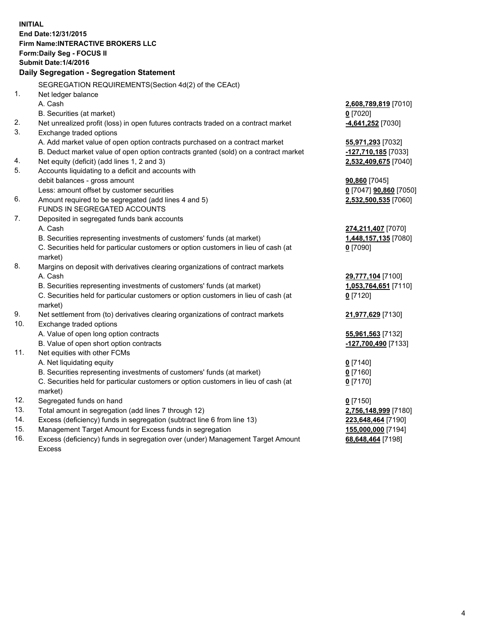**INITIAL End Date:12/31/2015 Firm Name:INTERACTIVE BROKERS LLC Form:Daily Seg - FOCUS II Submit Date:1/4/2016 Daily Segregation - Segregation Statement** SEGREGATION REQUIREMENTS(Section 4d(2) of the CEAct) 1. Net ledger balance A. Cash **2,608,789,819** [7010] B. Securities (at market) **0** [7020] 2. Net unrealized profit (loss) in open futures contracts traded on a contract market **-4,641,252** [7030] 3. Exchange traded options A. Add market value of open option contracts purchased on a contract market **55,971,293** [7032] B. Deduct market value of open option contracts granted (sold) on a contract market **-127,710,185** [7033] 4. Net equity (deficit) (add lines 1, 2 and 3) **2,532,409,675** [7040] 5. Accounts liquidating to a deficit and accounts with debit balances - gross amount **90,860** [7045] Less: amount offset by customer securities **0** [7047] **90,860** [7050] 6. Amount required to be segregated (add lines 4 and 5) **2,532,500,535** [7060] FUNDS IN SEGREGATED ACCOUNTS 7. Deposited in segregated funds bank accounts A. Cash **274,211,407** [7070] B. Securities representing investments of customers' funds (at market) **1,448,157,135** [7080] C. Securities held for particular customers or option customers in lieu of cash (at market) **0** [7090] 8. Margins on deposit with derivatives clearing organizations of contract markets A. Cash **29,777,104** [7100] B. Securities representing investments of customers' funds (at market) **1,053,764,651** [7110] C. Securities held for particular customers or option customers in lieu of cash (at market) **0** [7120] 9. Net settlement from (to) derivatives clearing organizations of contract markets **21,977,629** [7130] 10. Exchange traded options A. Value of open long option contracts **55,961,563** [7132] B. Value of open short option contracts **-127,700,490** [7133] 11. Net equities with other FCMs A. Net liquidating equity **0** [7140] B. Securities representing investments of customers' funds (at market) **0** [7160] C. Securities held for particular customers or option customers in lieu of cash (at market) **0** [7170] 12. Segregated funds on hand **0** [7150] 13. Total amount in segregation (add lines 7 through 12) **2,756,148,999** [7180] 14. Excess (deficiency) funds in segregation (subtract line 6 from line 13) **223,648,464** [7190] 15. Management Target Amount for Excess funds in segregation **155,000,000** [7194] 16. Excess (deficiency) funds in segregation over (under) Management Target Amount **68,648,464** [7198]

Excess